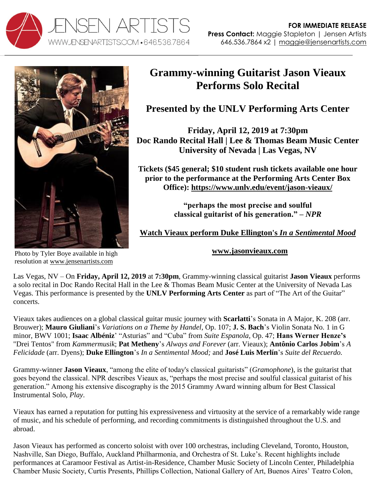



## **Grammy-winning Guitarist Jason Vieaux Performs Solo Recital**

**Presented by the UNLV Performing Arts Center**

**Friday, April 12, 2019 at 7:30pm Doc Rando Recital Hall | Lee & Thomas Beam Music Center University of Nevada | Las Vegas, NV**

**Tickets (\$45 general; \$10 student rush tickets available one hour prior to the performance at the Performing Arts Center Box Office): <https://www.unlv.edu/event/jason-vieaux/>**

> **"perhaps the most precise and soulful classical guitarist of his generation." –** *NPR*

**[Watch Vieaux perform Duke Ellington's](http://www.youtube.com/watch?v=6Mod9vYk4IE)** *In a Sentimental Mood*

**[www.jasonvieaux.com](http://www.jasonvieaux.com/)**

Photo by Tyler Boye available in high resolution at [www.jensenartists.com](http://www.jensenartists.com/)

Las Vegas, NV – On **Friday, April 12, 2019** at **7:30pm**, Grammy-winning classical guitarist **Jason Vieaux** performs a solo recital in Doc Rando Recital Hall in the Lee & Thomas Beam Music Center at the University of Nevada Las Vegas. This performance is presented by the **UNLV Performing Arts Center** as part of "The Art of the Guitar" concerts.

Vieaux takes audiences on a global classical guitar music journey with **Scarlatti**'s Sonata in A Major, K. 208 (arr. Brouwer); **Mauro Giuliani**'s *Variations on a Theme by Handel*, Op. 107; **J. S. Bach**'s Violin Sonata No. 1 in G minor, BWV 1001; **Isaac Albéniz**' "Asturias" and "Cuba" from *Suite Espanola*, Op. 47; **Hans Werner Henze's**  "Drei Tentos" from *Kammermusik*; **Pat Metheny**'s *Always and Forever* (arr. Vieaux); **Antônio Carlos Jobim**'s *A Felicidade* (arr. Dyens); **Duke Ellington**'s *In a Sentimental Mood;* and **José Luis Merlín**'s *Suite del Recuerdo.*

Grammy-winner **Jason Vieaux**, "among the elite of today's classical guitarists" (*Gramophone*), is the guitarist that goes beyond the classical. NPR describes Vieaux as, "perhaps the most precise and soulful classical guitarist of his generation." Among his extensive discography is the 2015 Grammy Award winning album for Best Classical Instrumental Solo, *Play*.

Vieaux has earned a reputation for putting his expressiveness and virtuosity at the service of a remarkably wide range of music, and his schedule of performing, and recording commitments is distinguished throughout the U.S. and abroad.

Jason Vieaux has performed as concerto soloist with over 100 orchestras, including Cleveland, Toronto, Houston, Nashville, San Diego, Buffalo, Auckland Philharmonia, and Orchestra of St. Luke's. Recent highlights include performances at Caramoor Festival as Artist-in-Residence, Chamber Music Society of Lincoln Center, Philadelphia Chamber Music Society, Curtis Presents, Phillips Collection, National Gallery of Art, Buenos Aires' Teatro Colon,